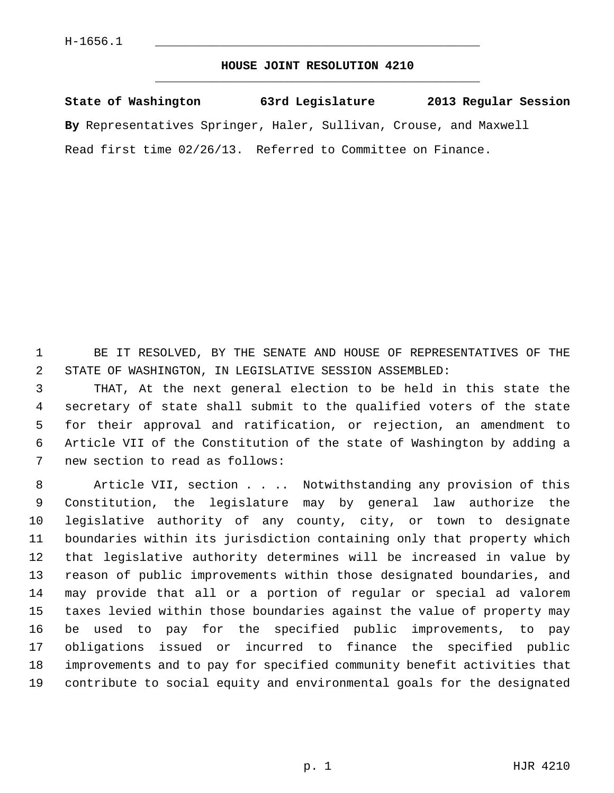## **HOUSE JOINT RESOLUTION 4210** \_\_\_\_\_\_\_\_\_\_\_\_\_\_\_\_\_\_\_\_\_\_\_\_\_\_\_\_\_\_\_\_\_\_\_\_\_\_\_\_\_\_\_\_\_

**State of Washington 63rd Legislature 2013 Regular Session By** Representatives Springer, Haler, Sullivan, Crouse, and Maxwell Read first time 02/26/13. Referred to Committee on Finance.

 1 BE IT RESOLVED, BY THE SENATE AND HOUSE OF REPRESENTATIVES OF THE 2 STATE OF WASHINGTON, IN LEGISLATIVE SESSION ASSEMBLED:

 3 THAT, At the next general election to be held in this state the 4 secretary of state shall submit to the qualified voters of the state 5 for their approval and ratification, or rejection, an amendment to 6 Article VII of the Constitution of the state of Washington by adding a 7 new section to read as follows:

8 Article VII, section . . . Notwithstanding any provision of this 9 Constitution, the legislature may by general law authorize the 10 legislative authority of any county, city, or town to designate 11 boundaries within its jurisdiction containing only that property which 12 that legislative authority determines will be increased in value by 13 reason of public improvements within those designated boundaries, and 14 may provide that all or a portion of regular or special ad valorem 15 taxes levied within those boundaries against the value of property may 16 be used to pay for the specified public improvements, to pay 17 obligations issued or incurred to finance the specified public 18 improvements and to pay for specified community benefit activities that 19 contribute to social equity and environmental goals for the designated